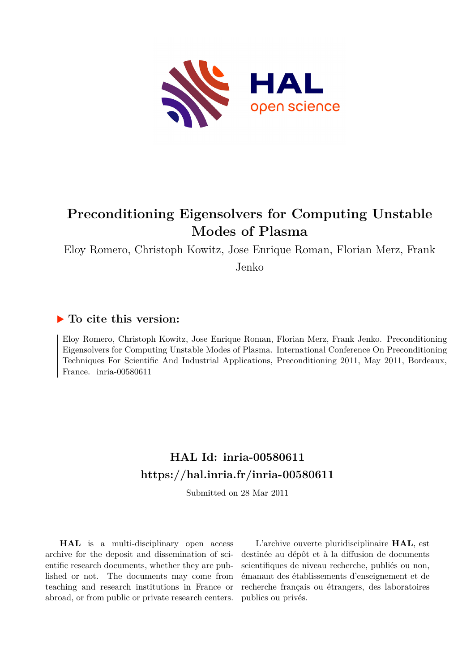

# **Preconditioning Eigensolvers for Computing Unstable Modes of Plasma**

Eloy Romero, Christoph Kowitz, Jose Enrique Roman, Florian Merz, Frank

Jenko

### **To cite this version:**

Eloy Romero, Christoph Kowitz, Jose Enrique Roman, Florian Merz, Frank Jenko. Preconditioning Eigensolvers for Computing Unstable Modes of Plasma. International Conference On Preconditioning Techniques For Scientific And Industrial Applications, Preconditioning 2011, May 2011, Bordeaux, France. inria-00580611

## **HAL Id: inria-00580611 <https://hal.inria.fr/inria-00580611>**

Submitted on 28 Mar 2011

**HAL** is a multi-disciplinary open access archive for the deposit and dissemination of scientific research documents, whether they are published or not. The documents may come from teaching and research institutions in France or abroad, or from public or private research centers.

L'archive ouverte pluridisciplinaire **HAL**, est destinée au dépôt et à la diffusion de documents scientifiques de niveau recherche, publiés ou non, émanant des établissements d'enseignement et de recherche français ou étrangers, des laboratoires publics ou privés.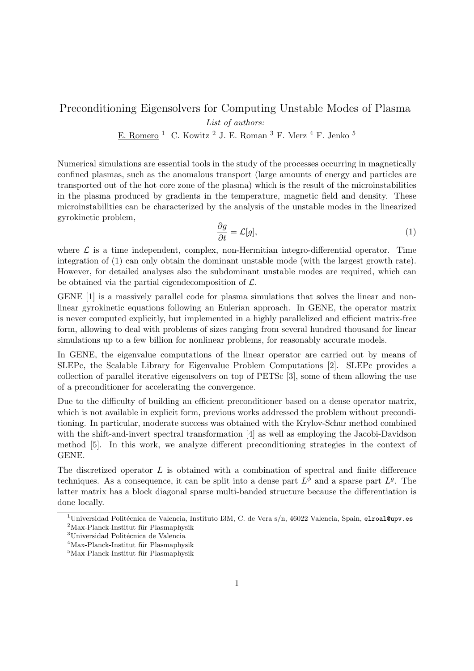### Preconditioning Eigensolvers for Computing Unstable Modes of Plasma

*List of authors:*

E. Romero $^1\;$  C. Kowitz  $^2$  J. E. Roman $^3$  F. Merz  $^4$  F. Jenko  $^5\;$ 

Numerical simulations are essential tools in the study of the processes occurring in magnetically confined plasmas, such as the anomalous transport (large amounts of energy and particles are transported out of the hot core zone of the plasma) which is the result of the microinstabilities in the plasma produced by gradients in the temperature, magnetic field and density. These microinstabilities can be characterized by the analysis of the unstable modes in the linearized gyrokinetic problem,

$$
\frac{\partial g}{\partial t} = \mathcal{L}[g],\tag{1}
$$

where  $\mathcal L$  is a time independent, complex, non-Hermitian integro-differential operator. Time integration of (1) can only obtain the dominant unstable mode (with the largest growth rate). However, for detailed analyses also the subdominant unstable modes are required, which can be obtained via the partial eigendecomposition of  $\mathcal{L}$ .

GENE [1] is a massively parallel code for plasma simulations that solves the linear and nonlinear gyrokinetic equations following an Eulerian approach. In GENE, the operator matrix is never computed explicitly, but implemented in a highly parallelized and efficient matrix-free form, allowing to deal with problems of sizes ranging from several hundred thousand for linear simulations up to a few billion for nonlinear problems, for reasonably accurate models.

In GENE, the eigenvalue computations of the linear operator are carried out by means of SLEPc, the Scalable Library for Eigenvalue Problem Computations [2]. SLEPc provides a collection of parallel iterative eigensolvers on top of PETSc [3], some of them allowing the use of a preconditioner for accelerating the convergence.

Due to the difficulty of building an efficient preconditioner based on a dense operator matrix, which is not available in explicit form, previous works addressed the problem without preconditioning. In particular, moderate success was obtained with the Krylov-Schur method combined with the shift-and-invert spectral transformation [4] as well as employing the Jacobi-Davidson method [5]. In this work, we analyze different preconditioning strategies in the context of GENE.

The discretized operator L is obtained with a combination of spectral and finite difference techniques. As a consequence, it can be split into a dense part  $L^{\phi}$  and a sparse part  $L^{g}$ . The latter matrix has a block diagonal sparse multi-banded structure because the differentiation is done locally.

<sup>&</sup>lt;sup>1</sup>Universidad Politécnica de Valencia, Instituto I3M, C. de Vera s/n, 46022 Valencia, Spain, elroal@upv.es  $^2$ Max-Planck-Institut für Plasmaphysik

 $^3 \rm{Universal}$  Politécnica de Valencia

 $4$ Max-Planck-Institut für Plasmaphysik

 $5$ Max-Planck-Institut für Plasmaphysik